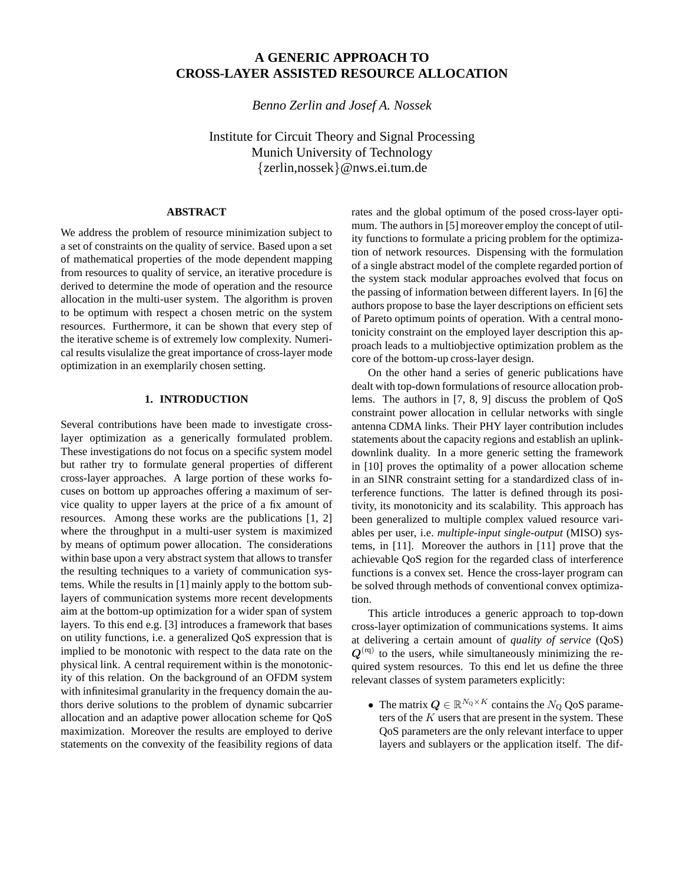# **A GENERIC APPROACH TO CROSS-LAYER ASSISTED RESOURCE ALLOCATION**

*Benno Zerlin and Josef A. Nossek*

Institute for Circuit Theory and Signal Processing Munich University of Technology {zerlin,nossek}@nws.ei.tum.de

# **ABSTRACT**

We address the problem of resource minimization subject to a set of constraints on the quality of service. Based upon a set of mathematical properties of the mode dependent mapping from resources to quality of service, an iterative procedure is derived to determine the mode of operation and the resource allocation in the multi-user system. The algorithm is proven to be optimum with respect a chosen metric on the system resources. Furthermore, it can be shown that every step of the iterative scheme is of extremely low complexity. Numerical results visulalize the great importance of cross-layer mode optimization in an exemplarily chosen setting.

## **1. INTRODUCTION**

Several contributions have been made to investigate crosslayer optimization as a generically formulated problem. These investigations do not focus on a specific system model but rather try to formulate general properties of different cross-layer approaches. A large portion of these works focuses on bottom up approaches offering a maximum of service quality to upper layers at the price of a fix amount of resources. Among these works are the publications [1, 2] where the throughput in a multi-user system is maximized by means of optimum power allocation. The considerations within base upon a very abstract system that allows to transfer the resulting techniques to a variety of communication systems. While the results in [1] mainly apply to the bottom sublayers of communication systems more recent developments aim at the bottom-up optimization for a wider span of system layers. To this end e.g. [3] introduces a framework that bases on utility functions, i.e. a generalized QoS expression that is implied to be monotonic with respect to the data rate on the physical link. A central requirement within is the monotonicity of this relation. On the background of an OFDM system with infinitesimal granularity in the frequency domain the authors derive solutions to the problem of dynamic subcarrier allocation and an adaptive power allocation scheme for QoS maximization. Moreover the results are employed to derive statements on the convexity of the feasibility regions of data

rates and the global optimum of the posed cross-layer optimum. The authors in [5] moreover employ the concept of utility functions to formulate a pricing problem for the optimization of network resources. Dispensing with the formulation of a single abstract model of the complete regarded portion of the system stack modular approaches evolved that focus on the passing of information between different layers. In [6] the authors propose to base the layer descriptions on efficient sets of Pareto optimum points of operation. With a central monotonicity constraint on the employed layer description this approach leads to a multiobjective optimization problem as the core of the bottom-up cross-layer design.

On the other hand a series of generic publications have dealt with top-down formulations of resource allocation problems. The authors in [7, 8, 9] discuss the problem of QoS constraint power allocation in cellular networks with single antenna CDMA links. Their PHY layer contribution includes statements about the capacity regions and establish an uplinkdownlink duality. In a more generic setting the framework in [10] proves the optimality of a power allocation scheme in an SINR constraint setting for a standardized class of interference functions. The latter is defined through its positivity, its monotonicity and its scalability. This approach has been generalized to multiple complex valued resource variables per user, i.e. *multiple-input single-output* (MISO) systems, in [11]. Moreover the authors in [11] prove that the achievable QoS region for the regarded class of interference functions is a convex set. Hence the cross-layer program can be solved through methods of conventional convex optimization.

This article introduces a generic approach to top-down cross-layer optimization of communications systems. It aims at delivering a certain amount of *quality of service* (QoS)  $Q^{(rq)}$  to the users, while simultaneously minimizing the required system resources. To this end let us define the three relevant classes of system parameters explicitly:

• The matrix  $Q \in \mathbb{R}^{N_Q \times K}$  contains the  $N_Q$  QoS parameters of the  $K$  users that are present in the system. These QoS parameters are the only relevant interface to upper layers and sublayers or the application itself. The dif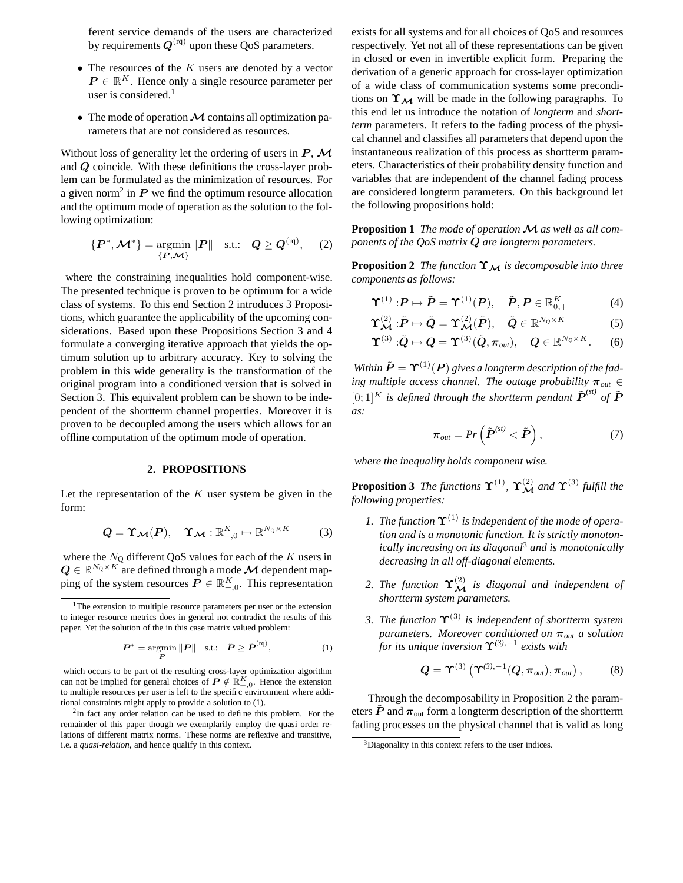ferent service demands of the users are characterized by requirements  $Q^{(rq)}$  upon these QoS parameters.

- The resources of the  $K$  users are denoted by a vector  $P \in \mathbb{R}^K$ . Hence only a single resource parameter per user is considered.<sup>1</sup>
- The mode of operation  $M$  contains all optimization parameters that are not considered as resources.

Without loss of generality let the ordering of users in  $P$ ,  $\mathcal M$ and Q coincide. With these definitions the cross-layer problem can be formulated as the minimization of resources. For a given norm<sup>2</sup> in  $P$  we find the optimum resource allocation and the optimum mode of operation as the solution to the following optimization:

$$
\{P^*, \mathcal{M}^*\} = \underset{\{P, \mathcal{M}\}}{\operatorname{argmin}} \|P\| \quad \text{s.t.:} \quad Q \ge Q^{(rq)}, \quad (2)
$$

where the constraining inequalities hold component-wise. The presented technique is proven to be optimum for a wide class of systems. To this end Section 2 introduces 3 Propositions, which guarantee the applicability of the upcoming considerations. Based upon these Propositions Section 3 and 4 formulate a converging iterative approach that yields the optimum solution up to arbitrary accuracy. Key to solving the problem in this wide generality is the transformation of the original program into a conditioned version that is solved in Section 3. This equivalent problem can be shown to be independent of the shortterm channel properties. Moreover it is proven to be decoupled among the users which allows for an offline computation of the optimum mode of operation.

#### **2. PROPOSITIONS**

Let the representation of the  $K$  user system be given in the form:

$$
Q = \Upsilon_{\mathcal{M}}(P), \quad \Upsilon_{\mathcal{M}} : \mathbb{R}_{+,0}^K \mapsto \mathbb{R}^{N_Q \times K}
$$
 (3)

where the  $N_Q$  different QoS values for each of the  $K$  users in  $\boldsymbol{Q} \in \mathbb{R}^{N_\text{Q} \times K}$  are defined through a mode  $\boldsymbol{\mathcal{M}}$  dependent mapping of the system resources  $\overline{P} \in \mathbb{R}^K_{+,0}$ . This representation

$$
\boldsymbol{P}^* = \underset{\boldsymbol{P}}{\text{argmin}} \|\boldsymbol{P}\| \quad \text{s.t.:} \quad \tilde{\boldsymbol{P}} \ge \tilde{\boldsymbol{P}}^{(rq)}, \tag{1}
$$

which occurs to be part of the resulting cross-layer optimization algorithm can not be implied for general choices of  $P \notin \mathbb{R}_{+,0}^K$ . Hence the extension to multiple resources per user is left to the specific environment where additional constraints might apply to provide a solution to (1).

 $2$ In fact any order relation can be used to define this problem. For the remainder of this paper though we exemplarily employ the quasi order relations of different matrix norms. These norms are reflexive and transitive, i.e. a *quasi-relation*, and hence qualify in this context.

exists for all systems and for all choices of QoS and resources respectively. Yet not all of these representations can be given in closed or even in invertible explicit form. Preparing the derivation of a generic approach for cross-layer optimization of a wide class of communication systems some preconditions on  $\Upsilon_M$  will be made in the following paragraphs. To this end let us introduce the notation of *longterm* and *shortterm* parameters. It refers to the fading process of the physical channel and classifies all parameters that depend upon the instantaneous realization of this process as shortterm parameters. Characteristics of their probability density function and variables that are independent of the channel fading process are considered longterm parameters. On this background let the following propositions hold:

**Proposition 1** The mode of operation  $M$  as well as all com*ponents of the QoS matrix* Q *are longterm parameters.*

**Proposition 2** *The function*  $\Upsilon_{\mathcal{M}}$  *is decomposable into three components as follows:*

$$
\Upsilon^{(1)}: \boldsymbol{P} \mapsto \tilde{\boldsymbol{P}} = \Upsilon^{(1)}(\boldsymbol{P}), \quad \tilde{\boldsymbol{P}}, \boldsymbol{P} \in \mathbb{R}_{0,+}^K \tag{4}
$$

$$
\Upsilon_{\mathcal{M}}^{(2)} : \tilde{P} \mapsto \tilde{Q} = \Upsilon_{\mathcal{M}}^{(2)}(\tilde{P}), \quad \tilde{Q} \in \mathbb{R}^{N_Q \times K}
$$
 (5)

$$
\Upsilon^{(3)}:\!\!\tilde{Q}\mapsto Q=\Upsilon^{(3)}(\tilde{Q},\pi_{\text{out}}),\quad Q\in\mathbb{R}^{N_Q\times K}.\quad (6)
$$

*Within*  $\tilde{P} = \Upsilon^{(1)}(P)$  *gives a longterm description of the fading multiple access channel. The outage probability*  $\pi_{out} \in$  $[0;1]^K$  *is defined through the shortterm pendant*  $\tilde{P}^{(st)}$  *of*  $\tilde{P}$ *as:*

$$
\boldsymbol{\pi}_{out} = Pr\left(\tilde{\boldsymbol{P}}^{(st)} < \tilde{\boldsymbol{P}}\right),\tag{7}
$$

*where the inequality holds component wise.*

**Proposition 3** The functions  $\Upsilon^{(1)}$ ,  $\Upsilon^{(2)}_{\mathcal{M}}$  and  $\Upsilon^{(3)}$  fulfill the *following properties:*

- *1. The function*  $\Upsilon^{(1)}$  *is independent of the mode of operation and is a monotonic function. It is strictly monotonically increasing on its diagonal*<sup>3</sup> *and is monotonically decreasing in all off-diagonal elements.*
- 2. The function  $\Upsilon_{\mathcal{M}}^{(2)}$  is diagonal and independent of *shortterm system parameters.*
- *3. The function* Υ(3) *is independent of shortterm system parameters. Moreover conditioned on* π*out a solution for its unique inversion* Υ*(3)*,−<sup>1</sup> *exists with*

$$
\boldsymbol{Q} = \boldsymbol{\Upsilon}^{(3)}\left(\boldsymbol{\Upsilon}^{(3),-1}(\boldsymbol{Q},\boldsymbol{\pi}_{out}),\boldsymbol{\pi}_{out}\right),\qquad(8)
$$

Through the decomposability in Proposition 2 the parameters  $\tilde{P}$  and  $\pi_{\text{out}}$  form a longterm description of the shortterm fading processes on the physical channel that is valid as long

<sup>&</sup>lt;sup>1</sup>The extension to multiple resource parameters per user or the extension to integer resource metrics does in general not contradict the results of this paper. Yet the solution of the in this case matrix valued problem:

<sup>&</sup>lt;sup>3</sup>Diagonality in this context refers to the user indices.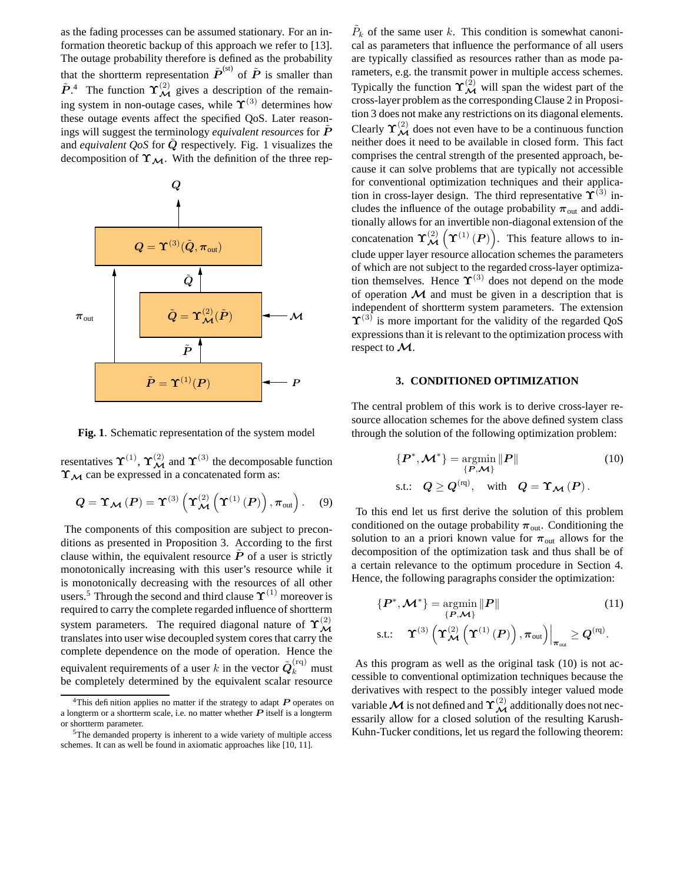as the fading processes can be assumed stationary. For an information theoretic backup of this approach we refer to [13]. The outage probability therefore is defined as the probability that the shortterm representation  $\tilde{P}^{(st)}$  of  $\tilde{P}$  is smaller than  $\tilde{P}$ <sup>4</sup>. The function  $\Upsilon_{\mathcal{M}}^{(2)}$  gives a description of the remaining system in non-outage cases, while  $\Upsilon^{(3)}$  determines how these outage events affect the specified QoS. Later reasonings will suggest the terminology *equivalent resources* for P˜ and *equivalent* QoS for Q respectively. Fig. 1 visualizes the decomposition of  $\Upsilon_{\mathcal{M}}$ . With the definition of the three rep-



**Fig. 1**. Schematic representation of the system model

resentatives  $\Upsilon^{(1)}$ ,  $\Upsilon_{\mathcal{M}}^{(2)}$  and  $\Upsilon^{(3)}$  the decomposable function  $\Upsilon_{\mathcal{M}}$  can be expressed in a concatenated form as:

$$
Q = \Upsilon_{\mathcal{M}}(P) = \Upsilon^{(3)}\left(\Upsilon_{\mathcal{M}}^{(2)}\left(\Upsilon^{(1)}(P)\right), \pi_{\text{out}}\right). \quad (9)
$$

The components of this composition are subject to preconditions as presented in Proposition 3. According to the first clause within, the equivalent resource  $P$  of a user is strictly monotonically increasing with this user's resource while it is monotonically decreasing with the resources of all other users.<sup>5</sup> Through the second and third clause  $\Upsilon^{(1)}$  moreover is required to carry the complete regarded influence of shortterm system parameters. The required diagonal nature of  $\Upsilon_{\mathcal{M}}^{(2)}$ translates into user wise decoupled system cores that carry the complete dependence on the mode of operation. Hence the equivalent requirements of a user  $k$  in the vector  $\tilde{\boldsymbol{Q}}_{k}^{(\text{rq})}$  must be completely determined by the equivalent scalar resource

 $\tilde{P}_k$  of the same user k. This condition is somewhat canonical as parameters that influence the performance of all users are typically classified as resources rather than as mode parameters, e.g. the transmit power in multiple access schemes. Typically the function  $\Upsilon_{\mathcal{M}}^{(2)}$  will span the widest part of the cross-layer problem as the correspondingClause 2 in Proposition 3 does not make any restrictions on its diagonal elements. Clearly  $\Upsilon_{\mathcal{M}}^{(2)}$  does not even have to be a continuous function neither does it need to be available in closed form. This fact comprises the central strength of the presented approach, because it can solve problems that are typically not accessible for conventional optimization techniques and their application in cross-layer design. The third representative  $\Upsilon^{(3)}$  includes the influence of the outage probability  $\pi_{\text{out}}$  and additionally allows for an invertible non-diagonal extension of the concatenation  $\Upsilon_{\mathcal{M}}^{(2)}\left(\Upsilon^{(1)}\left(P\right)\right)$ . This feature allows to include upper layer resource allocation schemes the parameters of which are not subject to the regarded cross-layer optimization themselves. Hence  $\Upsilon^{(3)}$  does not depend on the mode of operation  **and must be given in a description that is** independent of shortterm system parameters. The extension  $\Upsilon^{(3)}$  is more important for the validity of the regarded QoS expressions than it is relevant to the optimization process with respect to M.

## **3. CONDITIONED OPTIMIZATION**

The central problem of this work is to derive cross-layer resource allocation schemes for the above defined system class through the solution of the following optimization problem:

$$
\{P^*, \mathcal{M}^*\} = \underset{\{P, \mathcal{M}\}}{\operatorname{argmin}} \|P\|
$$
 (10)  
s.t.:  $Q \ge Q^{(rq)}$ , with  $Q = \Upsilon_{\mathcal{M}}(P)$ .

To this end let us first derive the solution of this problem conditioned on the outage probability  $\pi_{\text{out}}$ . Conditioning the solution to an a priori known value for  $\pi_{\text{out}}$  allows for the decomposition of the optimization task and thus shall be of a certain relevance to the optimum procedure in Section 4. Hence, the following paragraphs consider the optimization:

$$
\{P^*, \mathcal{M}^*\} = \underset{\{P, \mathcal{M}\}}{\operatorname{argmin}} \|P\|
$$
\ns.t.:

\n
$$
\Upsilon^{(3)} \left( \Upsilon_{\mathcal{M}}^{(2)} \left( \Upsilon^{(1)}\left(P\right) \right), \pi_{\text{out}} \right) \Big|_{\pi_{\text{out}}} \geq Q^{(\text{rq})}.
$$

As this program as well as the original task (10) is not accessible to conventional optimization techniques because the derivatives with respect to the possibly integer valued mode variable  ${\cal M}$  is not defined and  $\Upsilon^{(2)}_{\cal M}$  additionally does not necessarily allow for a closed solution of the resulting Karush-Kuhn-Tucker conditions, let us regard the following theorem:

<sup>&</sup>lt;sup>4</sup>This definition applies no matter if the strategy to adapt  $P$  operates on a longterm or a shortterm scale, i.e. no matter whether  $P$  itself is a longterm or shortterm parameter.

<sup>&</sup>lt;sup>5</sup>The demanded property is inherent to a wide variety of multiple access schemes. It can as well be found in axiomatic approaches like [10, 11].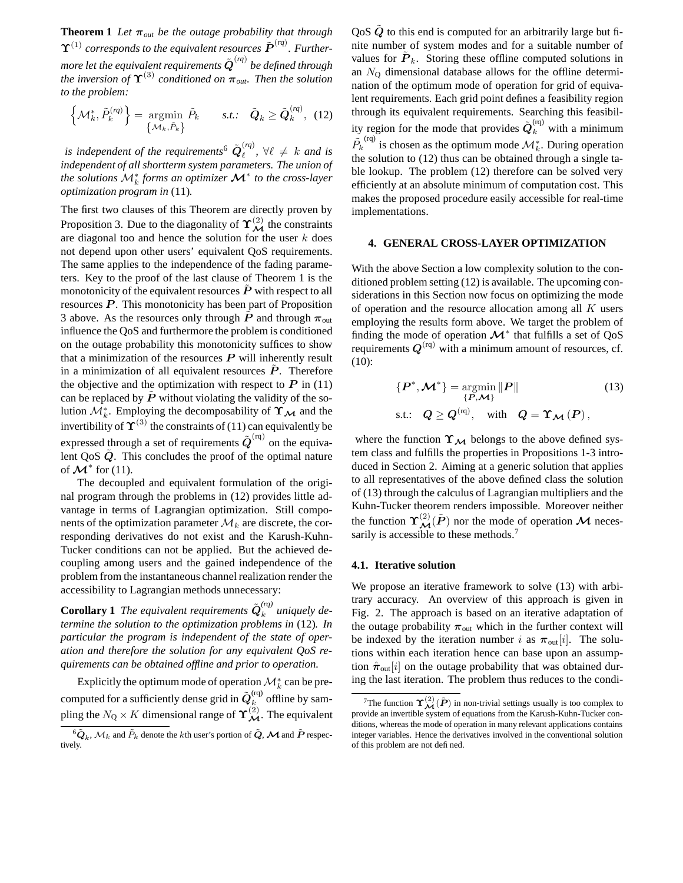**Theorem 1** *Let*  $\pi_{out}$  *be the outage probability that through*  $\Upsilon^{(1)}$  *corresponds to the equivalent resources*  $\tilde{\bm{P}}^{(rq)}$ *. Further*more let the equivalent requirements  $\tilde{\boldsymbol{Q}}^{\left( {rq} \right)}$  be defined through *the inversion of*  $\Upsilon^{(3)}$  *conditioned on*  $\pi_{out}$ *. Then the solution to the problem:*

$$
\left\{\mathcal{M}_{k}^{*}, \tilde{P}_{k}^{(rq)}\right\} = \underset{\left\{\mathcal{M}_{k}, \tilde{P}_{k}\right\}}{\operatorname{argmin}} \tilde{P}_{k} \qquad s.t.: \quad \tilde{Q}_{k} \ge \tilde{Q}_{k}^{(rq)}, \tag{12}
$$

is independent of the requirements<sup>6</sup>  $\tilde{\boldsymbol{Q}}_{\ell}^{(rq)}$  $\binom{q}{\ell}$ ,  $\forall \ell \neq k$  *and is independent of all shortterm system parameters. The union of the solutions* M<sup>∗</sup> k *forms an optimizer* M<sup>∗</sup> *to the cross-layer optimization program in* (11)*.*

The first two clauses of this Theorem are directly proven by Proposition 3. Due to the diagonality of  $\Upsilon_{\mathcal{M}}^{(2)}$  the constraints are diagonal too and hence the solution for the user  $k$  does not depend upon other users' equivalent QoS requirements. The same applies to the independence of the fading parameters. Key to the proof of the last clause of Theorem 1 is the monotonicity of the equivalent resources  $P$  with respect to all resources  $P$ . This monotonicity has been part of Proposition 3 above. As the resources only through  $\dot{P}$  and through  $\pi_{\text{out}}$ influence the QoS and furthermore the problem is conditioned on the outage probability this monotonicity suffices to show that a minimization of the resources  $P$  will inherently result in a minimization of all equivalent resources  $\tilde{P}$ . Therefore the objective and the optimization with respect to  $P$  in (11) can be replaced by  $\ddot{P}$  without violating the validity of the solution  $\mathcal{M}_{k}^{*}$ . Employing the decomposability of  $\Upsilon_{\mathcal{M}}$  and the invertibility of  $\Upsilon^{(3)}$  the constraints of (11) can equivalently be expressed through a set of requirements  $\tilde{\bm{Q}}^{\text{(rq)}}$  on the equivalent  $\cos Q$ . This concludes the proof of the optimal nature of  $\mathcal{M}^*$  for (11).

The decoupled and equivalent formulation of the original program through the problems in (12) provides little advantage in terms of Lagrangian optimization. Still components of the optimization parameter  $\mathcal{M}_k$  are discrete, the corresponding derivatives do not exist and the Karush-Kuhn-Tucker conditions can not be applied. But the achieved decoupling among users and the gained independence of the problem from the instantaneous channel realization render the accessibility to Lagrangian methods unnecessary:

**Corollary 1** *The equivalent requirements*  $\tilde{\boldsymbol{Q}}_k^{(rq)}$  $\int_{k}^{(4)}$  uniquely de*termine the solution to the optimization problems in* (12)*. In particular the program is independent of the state of operation and therefore the solution for any equivalent QoS requirements can be obtained offline and prior to operation.*

Explicitly the optimum mode of operation  $\mathcal{M}_{k}^{*}$  can be precomputed for a sufficiently dense grid in  $\tilde{\boldsymbol{Q}}_k^{\text{(rq)}}$  offline by sampling the  $N_Q \times K$  dimensional range of  $\Upsilon^{(2)}_{\cal M}$ . The equivalent QoS  $\tilde{Q}$  to this end is computed for an arbitrarily large but finite number of system modes and for a suitable number of values for  $\tilde{P}_k$ . Storing these offline computed solutions in an  $N<sub>O</sub>$  dimensional database allows for the offline determination of the optimum mode of operation for grid of equivalent requirements. Each grid point defines a feasibility region through its equivalent requirements. Searching this feasibility region for the mode that provides  $\tilde{\boldsymbol{Q}}_k^{\text{(rq)}}$  with a minimum  $\tilde{P_k}^{(rq)}$  is chosen as the optimum mode  $\mathcal{M}_k^*$ . During operation the solution to (12) thus can be obtained through a single table lookup. The problem (12) therefore can be solved very efficiently at an absolute minimum of computation cost. This makes the proposed procedure easily accessible for real-time implementations.

#### **4. GENERAL CROSS-LAYER OPTIMIZATION**

With the above Section a low complexity solution to the conditioned problem setting (12) is available. The upcoming considerations in this Section now focus on optimizing the mode of operation and the resource allocation among all K users employing the results form above. We target the problem of finding the mode of operation  $\mathcal{M}^*$  that fulfills a set of QoS requirements  $Q^{(rq)}$  with a minimum amount of resources, cf. (10):

$$
\{P^*, \mathcal{M}^*\} = \underset{\{P, \mathcal{M}\}}{\operatorname{argmin}} \|P\|
$$
\n
$$
\text{s.t.:} \quad Q \ge Q^{(n)}, \quad \text{with} \quad Q = \Upsilon_{\mathcal{M}}(P),
$$
\n
$$
(13)
$$

where the function  $\Upsilon_M$  belongs to the above defined system class and fulfills the properties in Propositions 1-3 introduced in Section 2. Aiming at a generic solution that applies to all representatives of the above defined class the solution of (13) through the calculus of Lagrangian multipliers and the Kuhn-Tucker theorem renders impossible. Moreover neither the function  $\Upsilon_{\mathcal{M}}^{(2)}(\tilde{P})$  nor the mode of operation  $\mathcal M$  necessarily is accessible to these methods.<sup>7</sup>

#### **4.1. Iterative solution**

We propose an iterative framework to solve (13) with arbitrary accuracy. An overview of this approach is given in Fig. 2. The approach is based on an iterative adaptation of the outage probability  $\pi_{\text{out}}$  which in the further context will be indexed by the iteration number i as  $\pi_{\text{out}}[i]$ . The solutions within each iteration hence can base upon an assumption  $\hat{\pi}_{out}[i]$  on the outage probability that was obtained during the last iteration. The problem thus reduces to the condi-

 $^6\tilde{\bm{Q}}_k$ ,  $\mathcal{M}_k$  and  $\tilde{P}_k$  denote the  $k$ th user's portion of  $\tilde{\bm{Q}},$   $\bm{\mathcal{M}}$  and  $\tilde{\bm{P}}$  respectively.

<sup>&</sup>lt;sup>7</sup>The function  $\Upsilon_{\mathcal{M}}^{(2)}(\tilde{P})$  in non-trivial settings usually is too complex to provide an invertible system of equations from the Karush-Kuhn-Tucker conditions, whereas the mode of operation in many relevant applications contains integer variables. Hence the derivatives involved in the conventional solution of this problem are not defined.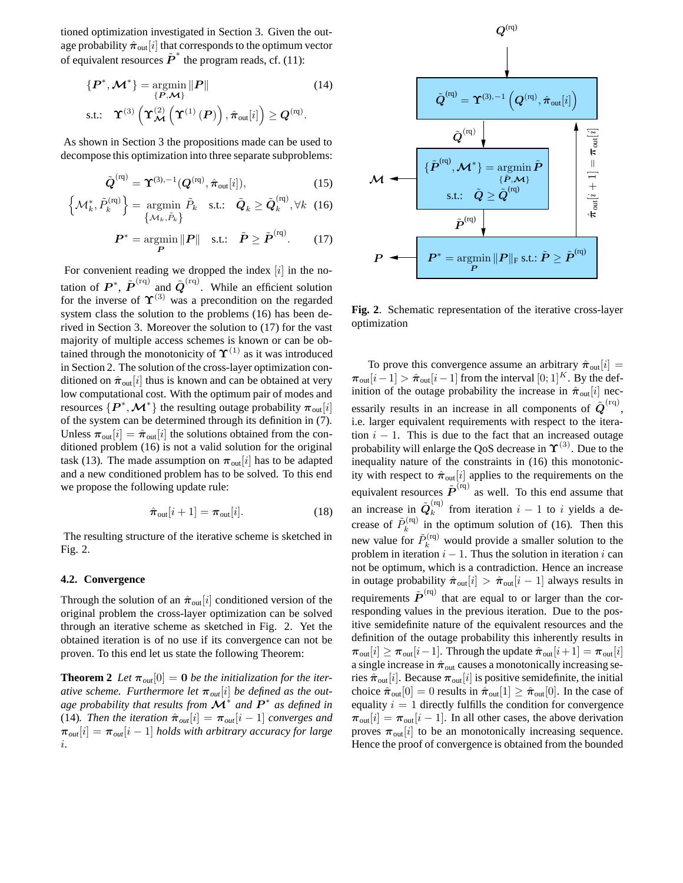tioned optimization investigated in Section 3. Given the outage probability  $\hat{\pi}_{out}[i]$  that corresponds to the optimum vector of equivalent resources  $\tilde{P}^*$  the program reads, cf. (11):

$$
\{P^*, \mathcal{M}^*\} = \underset{\{P, \mathcal{M}\}}{\operatorname{argmin}} \|P\|
$$
\ns.t.:

\n
$$
\Upsilon^{(3)} \left( \Upsilon_{\mathcal{M}}^{(2)} \left( \Upsilon^{(1)}\left(P\right) \right), \hat{\pi}_{out}[i] \right) \geq Q^{(n)}.
$$
\n(14)

As shown in Section 3 the propositions made can be used to decompose this optimization into three separate subproblems:

$$
\tilde{\boldsymbol{Q}}^{(\text{rq})} = \boldsymbol{\Upsilon}^{(3),-1}(\boldsymbol{Q}^{(\text{rq})}, \hat{\boldsymbol{\pi}}_{\text{out}}[i]),\tag{15}
$$

$$
\left\{\mathcal{M}_{k}^{*}, \tilde{P}_{k}^{(\mathrm{rq})}\right\} = \underset{\left\{\mathcal{M}_{k}, \tilde{P}_{k}\right\}}{\operatorname{argmin}} \tilde{P}_{k} \quad \text{s.t.:} \quad \tilde{\boldsymbol{Q}}_{k} \ge \tilde{\boldsymbol{Q}}_{k}^{(\mathrm{rq})}, \forall k \quad (16)
$$

$$
\boldsymbol{P}^* = \operatorname*{argmin}_{\boldsymbol{P}} \|\boldsymbol{P}\| \quad \text{s.t.:} \quad \tilde{\boldsymbol{P}} \ge \tilde{\boldsymbol{P}}^{(\text{rq})}.\tag{17}
$$

For convenient reading we dropped the index  $[i]$  in the notation of  $P^*$ ,  $\tilde{P}^{(rq)}$  and  $\tilde{Q}^{(rq)}$ . While an efficient solution for the inverse of  $\Upsilon^{(3)}$  was a precondition on the regarded system class the solution to the problems (16) has been derived in Section 3. Moreover the solution to (17) for the vast majority of multiple access schemes is known or can be obtained through the monotonicity of  $\Upsilon^{(1)}$  as it was introduced in Section 2. The solution of the cross-layer optimization conditioned on  $\hat{\pi}_{out}[i]$  thus is known and can be obtained at very low computational cost. With the optimum pair of modes and resources  $\{\boldsymbol{P}^*,\boldsymbol{\mathcal{M}}^*\}$  the resulting outage probability  $\boldsymbol{\pi}_\mathrm{out}[i]$ of the system can be determined through its definition in (7). Unless  $\pi_{\text{out}}[i] = \hat{\pi}_{\text{out}}[i]$  the solutions obtained from the conditioned problem (16) is not a valid solution for the original task (13). The made assumption on  $\pi_{\text{out}}[i]$  has to be adapted and a new conditioned problem has to be solved. To this end we propose the following update rule:

$$
\hat{\pi}_{\text{out}}[i+1] = \pi_{\text{out}}[i]. \tag{18}
$$

The resulting structure of the iterative scheme is sketched in Fig. 2.

#### **4.2. Convergence**

Through the solution of an  $\hat{\pi}_{out}[i]$  conditioned version of the original problem the cross-layer optimization can be solved through an iterative scheme as sketched in Fig. 2. Yet the obtained iteration is of no use if its convergence can not be proven. To this end let us state the following Theorem:

**Theorem 2** *Let*  $\pi_{out}[0] = 0$  *be the initialization for the iterative scheme.* Furthermore let  $\pi_{out}[i]$  be defined as the out*age probability that results from* M<sup>∗</sup> *and* P ∗ *as defined in* (14)*. Then the iteration*  $\hat{\pi}_{out}[i] = \pi_{out}[i-1]$  *converges and*  $\pi_{out}[i] = \pi_{out}[i-1]$  *holds with arbitrary accuracy for large* i*.*



**Fig. 2**. Schematic representation of the iterative cross-layer optimization

To prove this convergence assume an arbitrary  $\hat{\pi}_{out}[i] =$  $\pi_{\text{out}}[i-1] > \hat{\pi}_{\text{out}}[i-1]$  from the interval  $[0;1]^K$ . By the definition of the outage probability the increase in  $\hat{\pi}_{out}[i]$  necessarily results in an increase in all components of  $\tilde{\boldsymbol{Q}}^{(rq)}$ , i.e. larger equivalent requirements with respect to the iteration  $i - 1$ . This is due to the fact that an increased outage probability will enlarge the QoS decrease in  $\Upsilon^{(3)}$ . Due to the inequality nature of the constraints in (16) this monotonicity with respect to  $\hat{\pi}_{out}[i]$  applies to the requirements on the equivalent resources  $\tilde{\bm{P}}^{(\text{rq})}$  as well. To this end assume that an increase in  $\tilde{\boldsymbol{Q}}_k^{\text{(rq)}}$  $k$  from iteration  $i-1$  to i yields a decrease of  $\tilde{P}_k^{(rq)}$  in the optimum solution of (16). Then this new value for  $\tilde{P}_k^{(rq)}$  would provide a smaller solution to the problem in iteration  $i - 1$ . Thus the solution in iteration i can not be optimum, which is a contradiction. Hence an increase in outage probability  $\hat{\pi}_{out}[i] > \hat{\pi}_{out}[i-1]$  always results in requirements  $\tilde{P}^{(rq)}$  that are equal to or larger than the corresponding values in the previous iteration. Due to the positive semidefinite nature of the equivalent resources and the definition of the outage probability this inherently results in  $\pi_{\text{out}}[i] \geq \pi_{\text{out}}[i-1]$ . Through the update  $\hat{\pi}_{\text{out}}[i+1] = \pi_{\text{out}}[i]$ a single increase in  $\hat{\pi}_{\text{out}}$  causes a monotonically increasing series  $\hat{\pi}_{out}[i]$ . Because  $\pi_{out}[i]$  is positive semidefinite, the initial choice  $\hat{\pi}_{out}[0] = 0$  results in  $\hat{\pi}_{out}[1] \geq \hat{\pi}_{out}[0]$ . In the case of equality  $i = 1$  directly fulfills the condition for convergence  $\pi_{\text{out}}[i] = \pi_{\text{out}}[i-1]$ . In all other cases, the above derivation proves  $\pi_{\text{out}}[i]$  to be an monotonically increasing sequence. Hence the proof of convergence is obtained from the bounded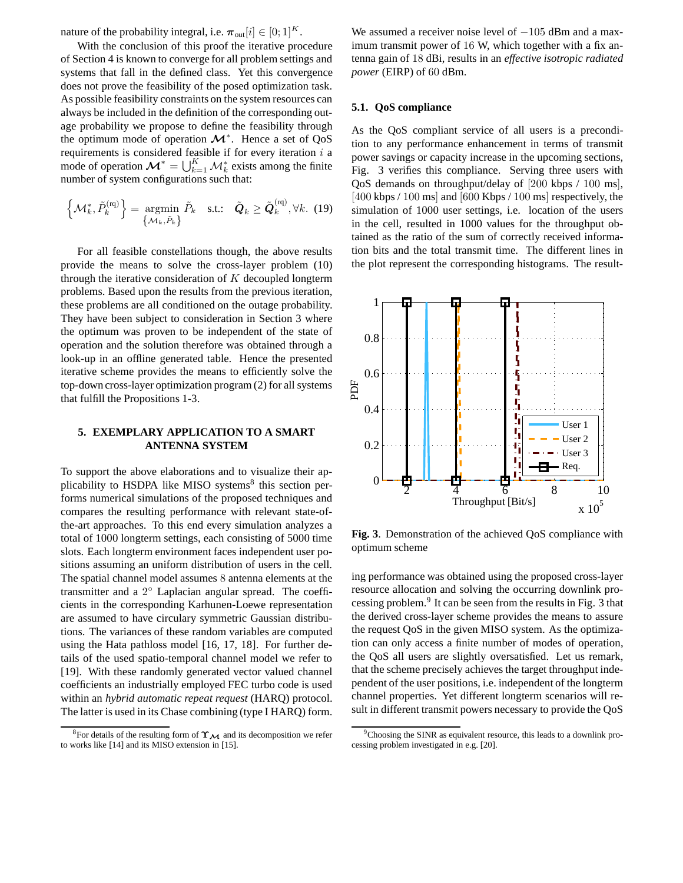nature of the probability integral, i.e.  $\pi_{out}[i] \in [0;1]^K$ .

With the conclusion of this proof the iterative procedure of Section 4 is known to converge for all problem settings and systems that fall in the defined class. Yet this convergence does not prove the feasibility of the posed optimization task. As possible feasibility constraints on the system resources can always be included in the definition of the corresponding outage probability we propose to define the feasibility through the optimum mode of operation  $\mathcal{M}^*$ . Hence a set of QoS requirements is considered feasible if for every iteration  $i$  a mode of operation  $\mathcal{M}^* = \bigcup_{k=1}^K \mathcal{M}_k^*$  exists among the finite number of system configurations such that:

$$
\left\{\mathcal{M}_{k}^{*}, \tilde{P}_{k}^{(\text{rq})}\right\} = \underset{\left\{\mathcal{M}_{k}, \tilde{P}_{k}\right\}}{\text{argmin}} \tilde{P}_{k} \quad \text{s.t.:} \quad \tilde{\boldsymbol{Q}}_{k} \ge \tilde{\boldsymbol{Q}}_{k}^{(\text{rq})}, \forall k. (19)
$$

For all feasible constellations though, the above results provide the means to solve the cross-layer problem (10) through the iterative consideration of  $K$  decoupled longterm problems. Based upon the results from the previous iteration, these problems are all conditioned on the outage probability. They have been subject to consideration in Section 3 where the optimum was proven to be independent of the state of operation and the solution therefore was obtained through a look-up in an offline generated table. Hence the presented iterative scheme provides the means to efficiently solve the top-down cross-layer optimization program (2) for all systems that fulfill the Propositions 1-3.

# **5. EXEMPLARY APPLICATION TO A SMART** PSfrag replacements **ANTENNA SYSTEM**

To support the above elaborations and to visualize their applicability to HSDPA like MISO systems<sup>8</sup> this section performs numerical simulations of the proposed techniques and compares the resulting performance with relevant state-ofthe-art approaches. To this end every simulation analyzes a total of 1000 longterm settings, each consisting of 5000 time slots. Each longterm environment faces independent user positions assuming an uniform distribution of users in the cell. The spatial channel model assumes 8 antenna elements at the transmitter and a 2° Laplacian angular spread. The coefficients in the corresponding Karhunen-Loewe representation are assumed to have circulary symmetric Gaussian distributions. The variances of these random variables are computed using the Hata pathloss model [16, 17, 18]. For further details of the used spatio-temporal channel model we refer to [19]. With these randomly generated vector valued channel coefficients an industrially employed FEC turbo code is used within an *hybrid automatic repeat request* (HARQ) protocol. The latter is used in its Chase combining (type I HARQ) form.

We assumed a receiver noise level of  $-105$  dBm and a maximum transmit power of 16 W, which together with a fix antenna gain of 18 dBi, results in an *effective isotropic radiated power* (EIRP) of 60 dBm.

#### **5.1. QoS compliance**

As the QoS compliant service of all users is a precondition to any performance enhancement in terms of transmit power savings or capacity increase in the upcoming sections, Fig. 3 verifies this compliance. Serving three users with QoS demands on throughput/delay of [200 kbps / 100 ms], [400 kbps / 100 ms] and [600 Kbps / 100 ms] respectively, the simulation of 1000 user settings, i.e. location of the users in the cell, resulted in 1000 values for the throughput obtained as the ratio of the sum of correctly received information bits and the total transmit time. The different lines in the plot represent the corresponding histograms. The result-



**Fig. 3**. Demonstration of the achieved QoS compliance with optimum scheme

ing performance was obtained using the proposed cross-layer resource allocation and solving the occurring downlink processing problem.<sup>9</sup> It can be seen from the results in Fig. 3 that the derived cross-layer scheme provides the means to assure the request QoS in the given MISO system. As the optimization can only access a finite number of modes of operation, the QoS all users are slightly oversatisfied. Let us remark, that the scheme precisely achieves the target throughput independent of the user positions, i.e. independent of the longterm channel properties. Yet different longterm scenarios will result in different transmit powers necessary to provide the QoS

<sup>&</sup>lt;sup>8</sup>For details of the resulting form of  $\Upsilon_{\mathcal{M}}$  and its decomposition we refer to works like [14] and its MISO extension in [15].

<sup>&</sup>lt;sup>9</sup>Choosing the SINR as equivalent resource, this leads to a downlink processing problem investigated in e.g. [20].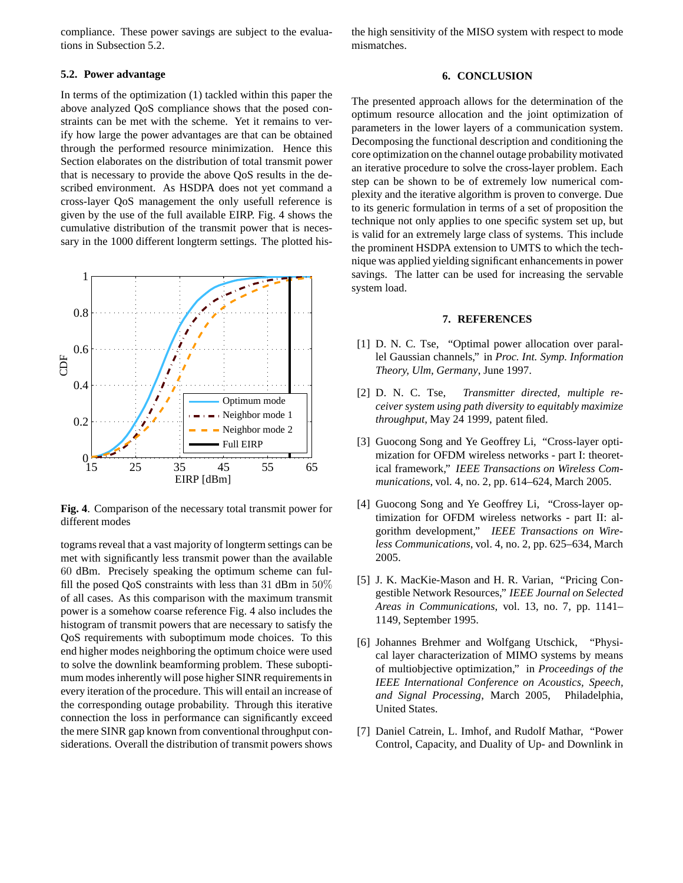compliance. These power savings are subject to the evaluations in Subsection 5.2.

## **5.2. Power advantage**

In terms of the optimization (1) tackled within this paper the above analyzed QoS compliance shows that the posed constraints can be met with the scheme. Yet it remains to verify how large the power advantages are that can be obtained through the performed resource minimization. Hence this Section elaborates on the distribution of total transmit power that is necessary to provide the above QoS results in the described environment. As HSDPA does not yet command a cross-layer QoS management the only usefull reference is given by the use of the full available EIRP. Fig. 4 shows the cumulative distribution of the transmit power that is necessary in the 1000 different longterm settings. The plotted his-



**Fig. 4**. Comparison of the necessary total transmit power for different modes

tograms reveal that a vast majority of longterm settings can be met with significantly less transmit power than the available 60 dBm. Precisely speaking the optimum scheme can fulfill the posed QoS constraints with less than 31 dBm in 50% of all cases. As this comparison with the maximum transmit power is a somehow coarse reference Fig. 4 also includes the histogram of transmit powers that are necessary to satisfy the QoS requirements with suboptimum mode choices. To this end higher modes neighboring the optimum choice were used to solve the downlink beamforming problem. These suboptimum modes inherently will pose higher SINR requirements in every iteration of the procedure. This will entail an increase of the corresponding outage probability. Through this iterative connection the loss in performance can significantly exceed the mere SINR gap known from conventional throughput considerations. Overall the distribution of transmit powers shows

the high sensitivity of the MISO system with respect to mode mismatches.

#### **6. CONCLUSION**

The presented approach allows for the determination of the optimum resource allocation and the joint optimization of parameters in the lower layers of a communication system. Decomposing the functional description and conditioning the core optimization on the channel outage probability motivated an iterative procedure to solve the cross-layer problem. Each step can be shown to be of extremely low numerical complexity and the iterative algorithm is proven to converge. Due to its generic formulation in terms of a set of proposition the technique not only applies to one specific system set up, but is valid for an extremely large class of systems. This include the prominent HSDPA extension to UMTS to which the technique was applied yielding significant enhancementsin power savings. The latter can be used for increasing the servable system load.

## **7. REFERENCES**

- [1] D. N. C. Tse, "Optimal power allocation over parallel Gaussian channels," in *Proc. Int. Symp. Information Theory, Ulm, Germany*, June 1997.
- [2] D. N. C. Tse, *Transmitter directed, multiple receiver system using path diversity to equitably maximize throughput*, May 24 1999, patent filed.
- [3] Guocong Song and Ye Geoffrey Li, "Cross-layer optimization for OFDM wireless networks - part I: theoretical framework," *IEEE Transactions on Wireless Communications*, vol. 4, no. 2, pp. 614–624, March 2005.
- [4] Guocong Song and Ye Geoffrey Li, "Cross-layer optimization for OFDM wireless networks - part II: algorithm development," *IEEE Transactions on Wireless Communications*, vol. 4, no. 2, pp. 625–634, March 2005.
- [5] J. K. MacKie-Mason and H. R. Varian, "Pricing Congestible Network Resources," *IEEE Journal on Selected Areas in Communications*, vol. 13, no. 7, pp. 1141– 1149, September 1995.
- [6] Johannes Brehmer and Wolfgang Utschick, "Physical layer characterization of MIMO systems by means of multiobjective optimization," in *Proceedings of the IEEE International Conference on Acoustics, Speech, and Signal Processing*, March 2005, Philadelphia, United States.
- [7] Daniel Catrein, L. Imhof, and Rudolf Mathar, "Power Control, Capacity, and Duality of Up- and Downlink in